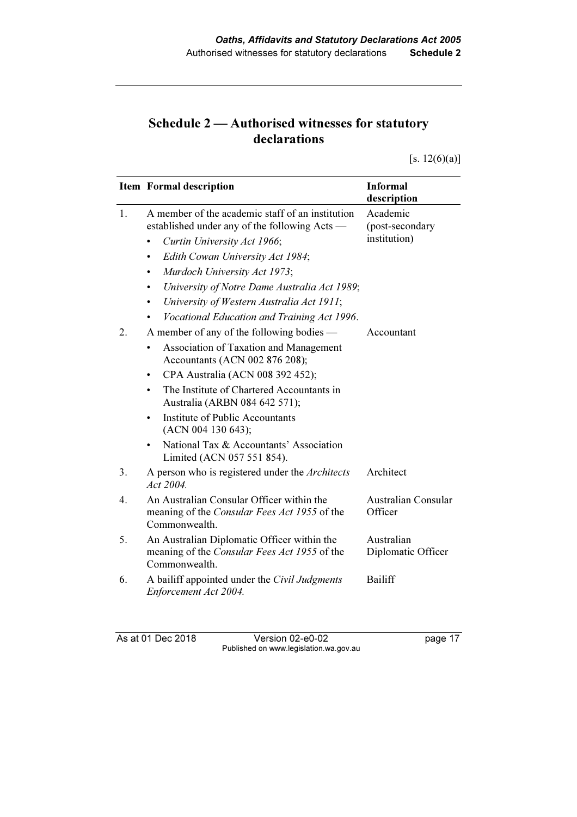## Schedule 2 — Authorised witnesses for statutory declarations

 $[s. 12(6)(a)]$ 

|                  | <b>Item Formal description</b>                                                                                                                  | <b>Informal</b><br>description              |
|------------------|-------------------------------------------------------------------------------------------------------------------------------------------------|---------------------------------------------|
| 1.               | A member of the academic staff of an institution<br>established under any of the following Acts —<br>Curtin University Act 1966;                | Academic<br>(post-secondary<br>institution) |
|                  | Edith Cowan University Act 1984;<br>٠<br>Murdoch University Act 1973;<br>$\bullet$<br>University of Notre Dame Australia Act 1989;<br>$\bullet$ |                                             |
|                  | University of Western Australia Act 1911;<br>$\bullet$<br>Vocational Education and Training Act 1996.<br>$\bullet$                              |                                             |
| 2.               | A member of any of the following bodies —<br>Association of Taxation and Management<br>Accountants (ACN 002 876 208);                           | Accountant                                  |
|                  | CPA Australia (ACN 008 392 452);<br>٠<br>The Institute of Chartered Accountants in<br>Australia (ARBN 084 642 571);                             |                                             |
|                  | Institute of Public Accountants<br>(ACN 004 130 643);                                                                                           |                                             |
|                  | National Tax & Accountants' Association<br>Limited (ACN 057 551 854).                                                                           |                                             |
| 3.               | A person who is registered under the Architects<br>Act $2004$ .                                                                                 | Architect                                   |
| $\overline{4}$ . | An Australian Consular Officer within the<br>meaning of the <i>Consular Fees Act 1955</i> of the<br>Commonwealth.                               | Australian Consular<br>Officer              |
| 5.               | An Australian Diplomatic Officer within the<br>meaning of the Consular Fees Act 1955 of the<br>Commonwealth.                                    | Australian<br>Diplomatic Officer            |
| 6.               | A bailiff appointed under the Civil Judgments<br>Enforcement Act 2004.                                                                          | <b>Bailiff</b>                              |

As at 01 Dec 2018 Version 02-e0-02 page 17 Published on www.legislation.wa.gov.au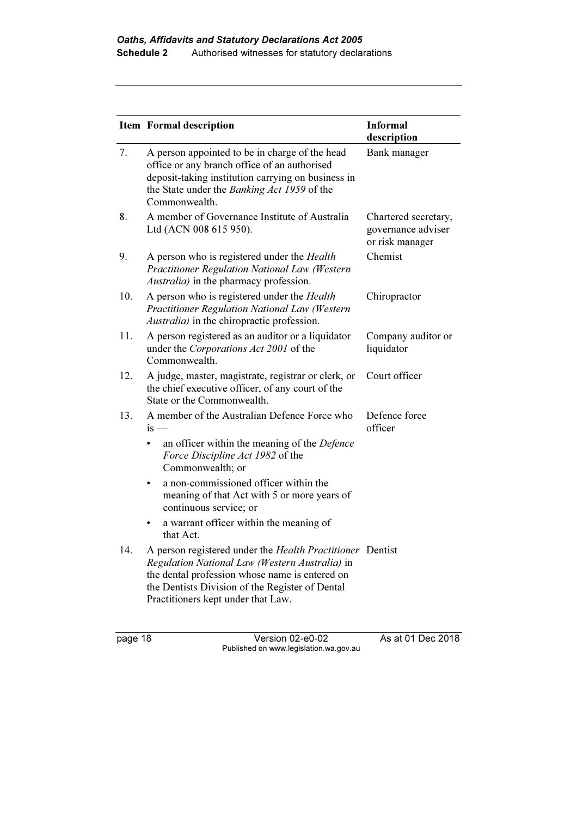|     | Item Formal description                                                                                                                                                                                                                                                                                                                  | <b>Informal</b><br>description                                |
|-----|------------------------------------------------------------------------------------------------------------------------------------------------------------------------------------------------------------------------------------------------------------------------------------------------------------------------------------------|---------------------------------------------------------------|
| 7.  | A person appointed to be in charge of the head<br>office or any branch office of an authorised<br>deposit-taking institution carrying on business in<br>the State under the Banking Act 1959 of the<br>Commonwealth.                                                                                                                     | Bank manager                                                  |
| 8.  | A member of Governance Institute of Australia<br>Ltd (ACN 008 615 950).                                                                                                                                                                                                                                                                  | Chartered secretary,<br>governance adviser<br>or risk manager |
| 9.  | A person who is registered under the <i>Health</i><br>Practitioner Regulation National Law (Western<br>Australia) in the pharmacy profession.                                                                                                                                                                                            | Chemist                                                       |
| 10. | A person who is registered under the <i>Health</i><br>Practitioner Regulation National Law (Western<br>Australia) in the chiropractic profession.                                                                                                                                                                                        | Chiropractor                                                  |
| 11. | A person registered as an auditor or a liquidator<br>under the Corporations Act 2001 of the<br>Commonwealth.                                                                                                                                                                                                                             | Company auditor or<br>liquidator                              |
| 12. | A judge, master, magistrate, registrar or clerk, or<br>the chief executive officer, of any court of the<br>State or the Commonwealth.                                                                                                                                                                                                    | Court officer                                                 |
| 13. | A member of the Australian Defence Force who<br>$is -$<br>an officer within the meaning of the Defence<br>Force Discipline Act 1982 of the<br>Commonwealth; or<br>a non-commissioned officer within the<br>meaning of that Act with 5 or more years of<br>continuous service; or<br>a warrant officer within the meaning of<br>that Act. | Defence force<br>officer                                      |
| 14. | A person registered under the Health Practitioner Dentist<br>Regulation National Law (Western Australia) in<br>the dental profession whose name is entered on<br>the Dentists Division of the Register of Dental<br>Practitioners kept under that Law.                                                                                   |                                                               |

page 18 Version 02-e0-02 As at 01 Dec 2018 Published on www.legislation.wa.gov.au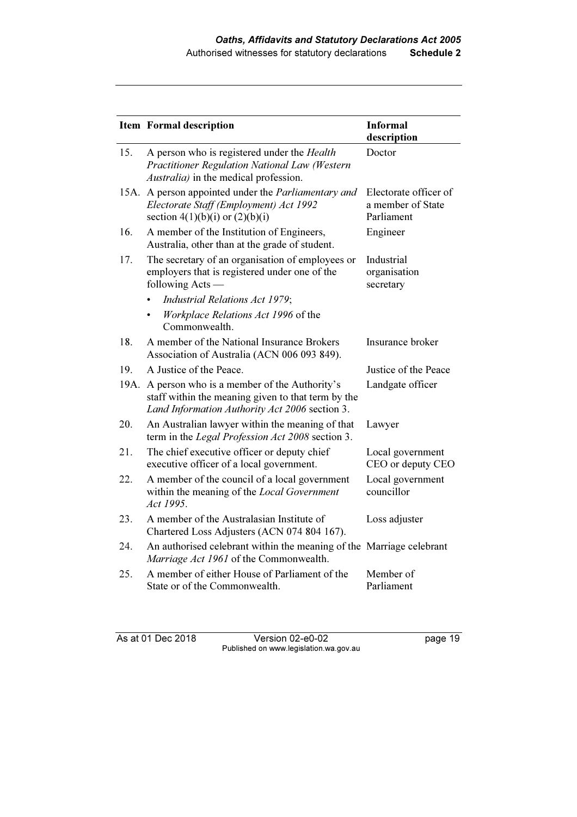|      | <b>Item Formal description</b>                                                                                                                       | <b>Informal</b><br>description                           |
|------|------------------------------------------------------------------------------------------------------------------------------------------------------|----------------------------------------------------------|
| 15.  | A person who is registered under the <i>Health</i><br>Practitioner Regulation National Law (Western<br><i>Australia</i> ) in the medical profession. | Doctor                                                   |
|      | 15A. A person appointed under the <i>Parliamentary and</i><br>Electorate Staff (Employment) Act 1992<br>section $4(1)(b)(i)$ or $(2)(b)(i)$          | Electorate officer of<br>a member of State<br>Parliament |
| 16.  | A member of the Institution of Engineers,<br>Australia, other than at the grade of student.                                                          | Engineer                                                 |
| 17.  | The secretary of an organisation of employees or<br>employers that is registered under one of the<br>following Acts —                                | Industrial<br>organisation<br>secretary                  |
|      | Industrial Relations Act 1979;                                                                                                                       |                                                          |
|      | Workplace Relations Act 1996 of the<br>Commonwealth.                                                                                                 |                                                          |
| 18.  | A member of the National Insurance Brokers<br>Association of Australia (ACN 006 093 849).                                                            | Insurance broker                                         |
| 19.  | A Justice of the Peace.                                                                                                                              | Justice of the Peace                                     |
| 19A. | A person who is a member of the Authority's<br>staff within the meaning given to that term by the<br>Land Information Authority Act 2006 section 3.  | Landgate officer                                         |
| 20.  | An Australian lawyer within the meaning of that<br>term in the Legal Profession Act 2008 section 3.                                                  | Lawyer                                                   |
| 21.  | The chief executive officer or deputy chief<br>executive officer of a local government.                                                              | Local government<br>CEO or deputy CEO                    |
| 22.  | A member of the council of a local government<br>within the meaning of the Local Government<br>Act 1995.                                             | Local government<br>councillor                           |
| 23.  | A member of the Australasian Institute of<br>Chartered Loss Adjusters (ACN 074 804 167).                                                             | Loss adjuster                                            |
| 24.  | An authorised celebrant within the meaning of the Marriage celebrant<br>Marriage Act 1961 of the Commonwealth.                                       |                                                          |
| 25.  | A member of either House of Parliament of the<br>State or of the Commonwealth.                                                                       | Member of<br>Parliament                                  |

As at 01 Dec 2018 Version 02-e0-02 page 19 Published on www.legislation.wa.gov.au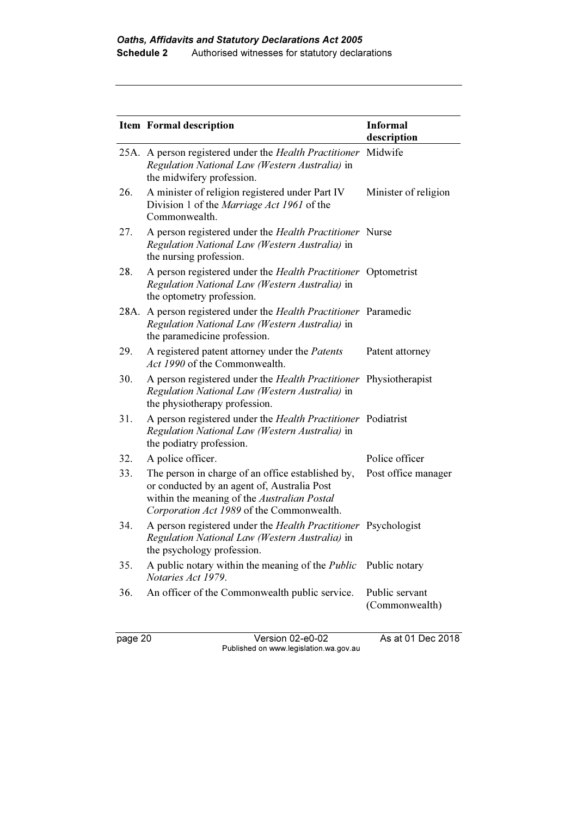|     | <b>Item Formal description</b>                                                                                                                                                               | <b>Informal</b><br>description   |
|-----|----------------------------------------------------------------------------------------------------------------------------------------------------------------------------------------------|----------------------------------|
|     | 25A. A person registered under the Health Practitioner Midwife<br>Regulation National Law (Western Australia) in<br>the midwifery profession.                                                |                                  |
| 26. | A minister of religion registered under Part IV<br>Division 1 of the Marriage Act 1961 of the<br>Commonwealth.                                                                               | Minister of religion             |
| 27. | A person registered under the Health Practitioner Nurse<br>Regulation National Law (Western Australia) in<br>the nursing profession.                                                         |                                  |
| 28. | A person registered under the Health Practitioner Optometrist<br>Regulation National Law (Western Australia) in<br>the optometry profession.                                                 |                                  |
|     | 28A. A person registered under the Health Practitioner Paramedic<br>Regulation National Law (Western Australia) in<br>the paramedicine profession.                                           |                                  |
| 29. | A registered patent attorney under the <i>Patents</i><br>Act 1990 of the Commonwealth.                                                                                                       | Patent attorney                  |
| 30. | A person registered under the <i>Health Practitioner</i> Physiotherapist<br>Regulation National Law (Western Australia) in<br>the physiotherapy profession.                                  |                                  |
| 31. | A person registered under the Health Practitioner Podiatrist<br>Regulation National Law (Western Australia) in<br>the podiatry profession.                                                   |                                  |
| 32. | A police officer.                                                                                                                                                                            | Police officer                   |
| 33. | The person in charge of an office established by,<br>or conducted by an agent of, Australia Post<br>within the meaning of the Australian Postal<br>Corporation Act 1989 of the Commonwealth. | Post office manager              |
| 34. | A person registered under the Health Practitioner Psychologist<br>Regulation National Law (Western Australia) in<br>the psychology profession.                                               |                                  |
| 35. | A public notary within the meaning of the <i>Public</i><br>Notaries Act 1979.                                                                                                                | Public notary                    |
| 36. | An officer of the Commonwealth public service.                                                                                                                                               | Public servant<br>(Commonwealth) |

page 20 Version 02-e0-02 As at 01 Dec 2018 Published on www.legislation.wa.gov.au